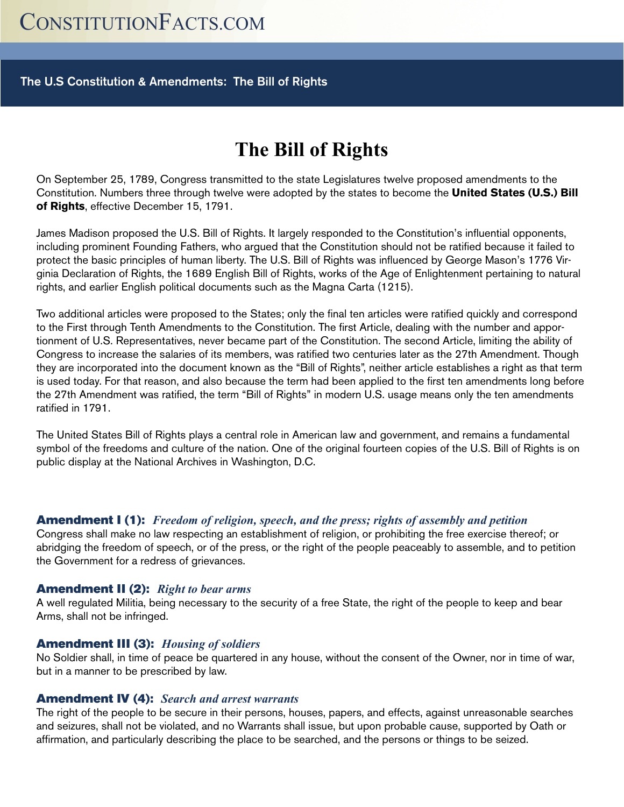## The U.S Constitution & Amendments: The Bill of Rights

# **The Bill of Rights**

On September 25, 1789, Congress transmitted to the state Legislatures twelve proposed amendments to the Constitution. Numbers three through twelve were adopted by the states to become the **United States (U.S.) Bill of Rights**, effective December 15, 1791.

James Madison proposed the U.S. Bill of Rights. It largely responded to the Constitution's influential opponents, including prominent Founding Fathers, who argued that the Constitution should not be ratified because it failed to protect the basic principles of human liberty. The U.S. Bill of Rights was influenced by George Mason's 1776 Virginia Declaration of Rights, the 1689 English Bill of Rights, works of the Age of Enlightenment pertaining to natural rights, and earlier English political documents such as the Magna Carta (1215).

Two additional articles were proposed to the States; only the final ten articles were ratified quickly and correspond to the First through Tenth Amendments to the Constitution. The first Article, dealing with the number and apportionment of U.S. Representatives, never became part of the Constitution. The second Article, limiting the ability of Congress to increase the salaries of its members, was ratified two centuries later as the 27th Amendment. Though they are incorporated into the document known as the "Bill of Rights", neither article establishes a right as that term is used today. For that reason, and also because the term had been applied to the first ten amendments long before the 27th Amendment was ratified, the term "Bill of Rights" in modern U.S. usage means only the ten amendments ratified in 1791.

The United States Bill of Rights plays a central role in American law and government, and remains a fundamental symbol of the freedoms and culture of the nation. One of the original fourteen copies of the U.S. Bill of Rights is on public display at the National Archives in Washington, D.C.

## Amendment I (1): *Freedom of religion, speech, and the press; rights of assembly and petition*

Congress shall make no law respecting an establishment of religion, or prohibiting the free exercise thereof; or abridging the freedom of speech, or of the press, or the right of the people peaceably to assemble, and to petition the Government for a redress of grievances.

## Amendment II (2): *Right to bear arms*

A well regulated Militia, being necessary to the security of a free State, the right of the people to keep and bear Arms, shall not be infringed.

## Amendment III (3): *Housing of soldiers*

No Soldier shall, in time of peace be quartered in any house, without the consent of the Owner, nor in time of war, but in a manner to be prescribed by law.

## Amendment IV (4): *Search and arrest warrants*

The right of the people to be secure in their persons, houses, papers, and effects, against unreasonable searches and seizures, shall not be violated, and no Warrants shall issue, but upon probable cause, supported by Oath or affirmation, and particularly describing the place to be searched, and the persons or things to be seized.